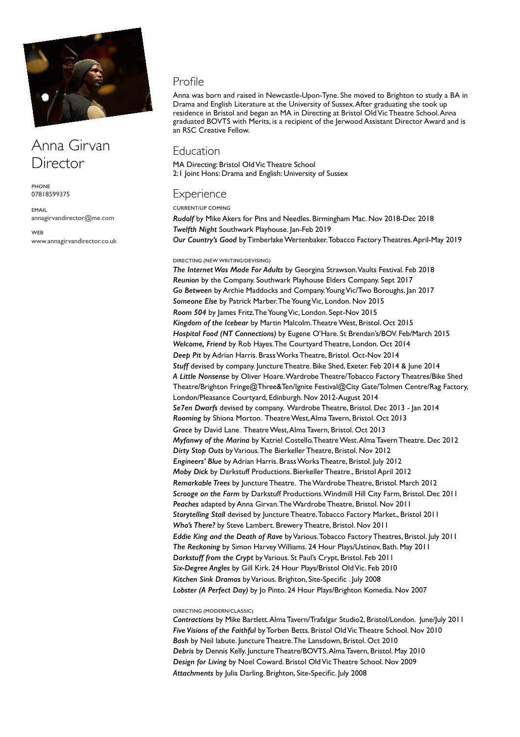

# Anna Girvan **Director**

**PHONE PHONE**  07818599375 07818599375

**EMAIL EMAIL**  annagirvandirector@me.com annagirvandirector@me.com

**WEB WEB**  www.annagirvandirector.co.uk www.annagirvandirector.co.uk

## Profile

Anna was born and raised in Newcastle-Upon-Tyne. She moved to Brighton to study a BA in Drama and English Literature at the University of Sussex. After graduating she took up residence in Bristol and began an MA in Directing at Bristol Old Vic Theatre School. Anna graduated BOVTS with Merits, is a recipient of the Jerwood Assistant Director Award and is an RSC Creative Fellow.

## Education

MA Directing: Bristol Old Vic Theatre School 2:1 Joint Hons: Drama and English: University of Sussex

## Experience

**CURRENT/UP COMING** 

*Rudolf* by Mike Akers for Pins and Needles. Birmingham Mac. Nov 2018-Dec 2018 *Twelfth Night* Southwark Playhouse. Jan-Feb 2019 *Our Country's Good* by Timberlake Wertenbaker. Tobacco Factory Theatres. April-May 2019

#### **DIRECTING (NEW WRITING/DEVISING)**

*The Internet Was Made For Adults* by Georgina Strawson. Vaults Festival. Feb 2018 *Reunion* by the Company. Southwark Playhouse Elders Company. Sept 2017 *Go Between* by Archie Maddocks and Company. Young Vic/Two Boroughs. Jan 2017 *Someone Else* by Patrick Marber. The Young Vic, London. Nov 2015 *Room 504* by James Fritz*.*The Young Vic, London. Sept-Nov 2015 *Kingdom of the Icebear* by Martin Malcolm. Theatre West, Bristol. Oct 2015 *Hospital Food (NT Connections)* by Eugene O'Hare. St Brendan's/BOV. Feb/March 2015 *Welcome, Friend* by Rob Hayes. The Courtyard Theatre, London. Oct 2014 *Deep Pit* by Adrian Harris. Brass Works Theatre, Bristol. Oct-Nov 2014 *Stuff* devised by company. Juncture Theatre. Bike Shed, Exeter. Feb 2014 & June 2014 *A Little Nonsense* by Oliver Hoare. Wardrobe Theatre/Tobacco Factory Theatres/Bike Shed Theatre/Brighton Fringe@Three&Ten/Ignite Festival@City Gate/Tolmen Centre/Rag Factory, London/Pleasance Courtyard, Edinburgh. Nov 2012-August 2014 *Se7en Dwarfs* devised by company. Wardrobe Theatre, Bristol. Dec 2013 - Jan 2014 *Rooming* by Shiona Morton. Theatre West, Alma Tavern, Bristol. Oct 2013 *Grace* by David Lane. Theatre West, Alma Tavern, Bristol. Oct 2013 *Myfanwy of the Marina* by Katriel Costello.Theatre West. Alma Tavern Theatre. Dec 2012 *Dirty Stop Outs* by Various. The Bierkeller Theatre, Bristol. Nov 2012 *Engineers' Blue* by Adrian Harris. Brass Works Theatre, Bristol. July 2012 *Moby Dick* by Darkstuff Productions. Bierkeller Theatre., Bristol April 2012 *Remarkable Trees* by Juncture Theatre. The Wardrobe Theatre, Bristol. March 2012 *Scrooge on the Farm* by Darkstuff Productions. Windmill Hill City Farm, Bristol. Dec 2011 *Peaches* adapted by Anna Girvan. The Wardrobe Theatre, Bristol. Nov 2011 *Storytelling Stall* devised by Juncture Theatre. Tobacco Factory Market., Bristol 2011 *Who's There?* by Steve Lambert. Brewery Theatre, Bristol. Nov 2011 *Eddie King and the Death of Rave* by Various. Tobacco Factory Theatres, Bristol. July 2011 *The Reckoning* by Simon Harvey Williams. 24 Hour Plays/Ustinov, Bath. May 2011 *Darkstuff from the Crypt* by Various. St Paul's Crypt, Bristol. Feb 2011 *Six-Degree Angles* by Gill Kirk. 24 Hour Plays/Bristol Old Vic. Feb 2010 *Kitchen Sink Dramas* by Various. Brighton, Site-Specific . July 2008 *Lobster (A Perfect Day)* by Jo Pinto. 24 Hour Plays/Brighton Komedia. Nov 2007

#### **DIRECTING (MODERN/CLASSIC)**

*Contractions* by Mike Bartlett. Alma Tavern/Trafalgar Studio2, Bristol/London. June/July 2011 *Five Visions of the Faithful* by Torben Betts. Bristol Old Vic Theatre School. Nov 2010 *Bash* by Neil labute. Juncture Theatre. The Lansdown, Bristol. Oct 2010 *Debris* by Dennis Kelly. Juncture Theatre/BOVTS. Alma Tavern, Bristol. May 2010 *Design for Living* by Noel Coward. Bristol Old Vic Theatre School. Nov 2009 *Attachments* by Julia Darling. Brighton, Site-Specific. July 2008